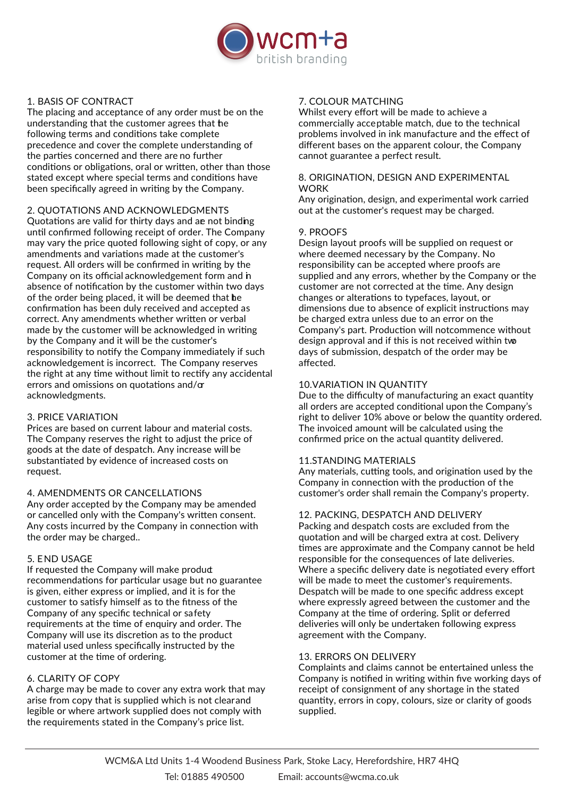

# 1. BASIS OF CONTRACT

The placing and acceptance of any order must be on the understanding that the customer agrees that he following terms and conditions take complete precedence and cover the complete understanding of the parties concerned and there are no further conditions or obligations, oral or written, other than those stated except where special terms and conditions have been specifically agreed in writing by the Company.

2. QUOTATIONS AND ACKNOWLEDGMENTS Quotations are valid for thirty days and an not binding until confirmed following receipt of order. The Company may vary the price quoted following sight of copy, or any amendments and variations made at the customer's request. All orders will be confirmed in writing by the Company on its official acknowledgement form and in absence of notification by the customer within two days of the order being placed, it will be deemed that  $he$ confirmation has been duly received and accepted as correct. Any amendments whether written or verbal made by the customer will be acknowledged in writing by the Company and it will be the customer's responsibility to notify the Company immediately if such acknowledgement is incorrect. The Company reserves the right at any time without limit to rectify any accidental errors and omissions on quotations and/or acknowledgments.

## 3. PRICE VARIATION

Prices are based on current labour and material costs. The Company reserves the right to adjust the price of goods at the date of despatch. Any increase will be substantiated by evidence of increased costs on request.

## 4. AMENDMENTS OR CANCELLATIONS

Any order accepted by the Company may be amended or cancelled only with the Company's written consent. Any costs incurred by the Company in connection with the order may be charged..

## 5. END USAGE

If requested the Company will make produd recommendations for particular usage but no guarantee is given, either express or implied, and it is for the customer to satisfy himself as to the fitness of the Company of any specific technical or safety requirements at the time of enquiry and order. The Company will use its discretion as to the product material used unless specifically instructed by the customer at the time of ordering.

## 6. CLARITY OF COPY

A charge may be made to cover any extra work that may arise from copy that is supplied which is not clearand legible or where artwork supplied does not comply with the requirements stated in the Company's price list.

# 7. COLOUR MATCHING

Whilst every effort will be made to achieve a commercially acceptable match, due to the technical problems involved in ink manufacture and the effect of different bases on the apparent colour, the Company cannot guarantee a perfect result.

#### 8. ORIGINATION, DESIGN AND EXPERIMENTAL WORK

Any origination, design, and experimental work carried out at the customer's request may be charged.

## 9. PROOFS

Design layout proofs will be supplied on request or where deemed necessary by the Company. No responsibility can be accepted where proofs are supplied and any errors, whether by the Company or the customer are not corrected at the time. Any design changes or alterations to typefaces, layout, or dimensions due to absence of explicit instructions may be charged extra unless due to an error on the Company's part. Production will notcommence without design approval and if this is not received within two days of submission, despatch of the order may be affected.

## 10.VARIATION IN QUANTITY

Due to the difficulty of manufacturing an exact quantity all orders are accepted conditional upon the Company's right to deliver 10% above or below the quantity ordered. The invoiced amount will be calculated using the confirmed price on the actual quantity delivered.

## 11.STANDING MATERIALS

Any materials, cutting tools, and origination used by the Company in connection with the production of the customer's order shall remain the Company's property.

## 12. PACKING, DESPATCH AND DELIVERY

Packing and despatch costs are excluded from the quotation and will be charged extra at cost. Delivery times are approximate and the Company cannot be held responsible for the consequences of late deliveries. Where a specific delivery date is negotiated every effort will be made to meet the customer's requirements. Despatch will be made to one specific address except where expressly agreed between the customer and the Company at the time of ordering. Split or deferred deliveries will only be undertaken following express agreement with the Company.

## 13. ERRORS ON DELIVERY

Complaints and claims cannot be entertained unless the Company is notified in writing within five working days of receipt of consignment of any shortage in the stated quantity, errors in copy, colours, size or clarity of goods supplied.